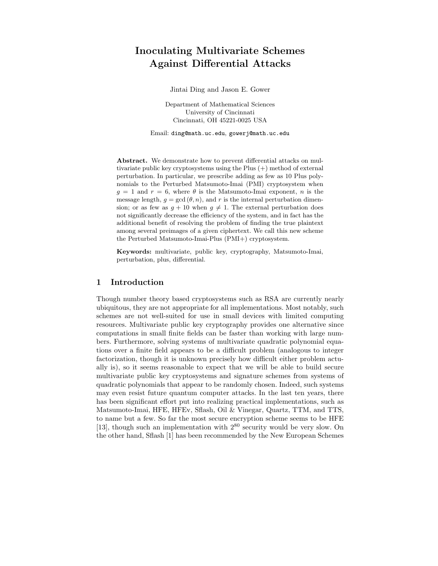# Inoculating Multivariate Schemes Against Differential Attacks

Jintai Ding and Jason E. Gower

Department of Mathematical Sciences University of Cincinnati Cincinnati, OH 45221-0025 USA

Email: ding@math.uc.edu, gowerj@math.uc.edu

Abstract. We demonstrate how to prevent differential attacks on multivariate public key cryptosystems using the Plus (+) method of external perturbation. In particular, we prescribe adding as few as 10 Plus polynomials to the Perturbed Matsumoto-Imai (PMI) cryptosystem when  $g = 1$  and  $r = 6$ , where  $\theta$  is the Matsumoto-Imai exponent, n is the message length,  $g = \gcd(\theta, n)$ , and r is the internal perturbation dimension; or as few as  $q + 10$  when  $q \neq 1$ . The external perturbation does not significantly decrease the efficiency of the system, and in fact has the additional benefit of resolving the problem of finding the true plaintext among several preimages of a given ciphertext. We call this new scheme the Perturbed Matsumoto-Imai-Plus (PMI+) cryptosystem.

Keywords: multivariate, public key, cryptography, Matsumoto-Imai, perturbation, plus, differential.

## 1 Introduction

Though number theory based cryptosystems such as RSA are currently nearly ubiquitous, they are not appropriate for all implementations. Most notably, such schemes are not well-suited for use in small devices with limited computing resources. Multivariate public key cryptography provides one alternative since computations in small finite fields can be faster than working with large numbers. Furthermore, solving systems of multivariate quadratic polynomial equations over a finite field appears to be a difficult problem (analogous to integer factorization, though it is unknown precisely how difficult either problem actually is), so it seems reasonable to expect that we will be able to build secure multivariate public key cryptosystems and signature schemes from systems of quadratic polynomials that appear to be randomly chosen. Indeed, such systems may even resist future quantum computer attacks. In the last ten years, there has been significant effort put into realizing practical implementations, such as Matsumoto-Imai, HFE, HFEv, Sflash, Oil & Vinegar, Quartz, TTM, and TTS, to name but a few. So far the most secure encryption scheme seems to be HFE [13], though such an implementation with  $2^{80}$  security would be very slow. On the other hand, Sflash [1] has been recommended by the New European Schemes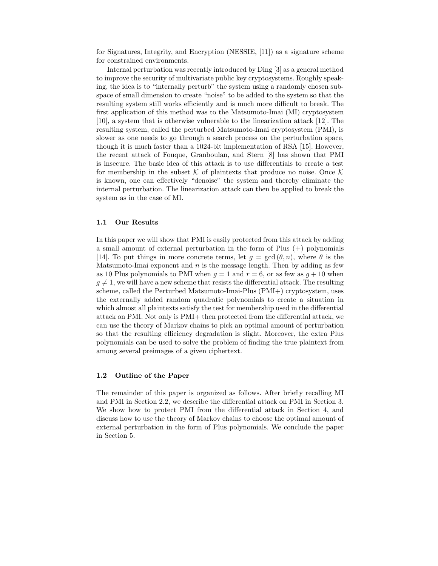for Signatures, Integrity, and Encryption (NESSIE, [11]) as a signature scheme for constrained environments.

Internal perturbation was recently introduced by Ding [3] as a general method to improve the security of multivariate public key cryptosystems. Roughly speaking, the idea is to "internally perturb" the system using a randomly chosen subspace of small dimension to create "noise" to be added to the system so that the resulting system still works efficiently and is much more difficult to break. The first application of this method was to the Matsumoto-Imai (MI) cryptosystem [10], a system that is otherwise vulnerable to the linearization attack [12]. The resulting system, called the perturbed Matsumoto-Imai cryptosystem (PMI), is slower as one needs to go through a search process on the perturbation space, though it is much faster than a 1024-bit implementation of RSA [15]. However, the recent attack of Fouque, Granboulan, and Stern [8] has shown that PMI is insecure. The basic idea of this attack is to use differentials to create a test for membership in the subset  $K$  of plaintexts that produce no noise. Once  $K$ is known, one can effectively "denoise" the system and thereby eliminate the internal perturbation. The linearization attack can then be applied to break the system as in the case of MI.

#### 1.1 Our Results

In this paper we will show that PMI is easily protected from this attack by adding a small amount of external perturbation in the form of Plus  $(+)$  polynomials [14]. To put things in more concrete terms, let  $q = \gcd(\theta, n)$ , where  $\theta$  is the Matsumoto-Imai exponent and  $n$  is the message length. Then by adding as few as 10 Plus polynomials to PMI when  $g = 1$  and  $r = 6$ , or as few as  $g + 10$  when  $g \neq 1$ , we will have a new scheme that resists the differential attack. The resulting scheme, called the Perturbed Matsumoto-Imai-Plus (PMI+) cryptosystem, uses the externally added random quadratic polynomials to create a situation in which almost all plaintexts satisfy the test for membership used in the differential attack on PMI. Not only is PMI+ then protected from the differential attack, we can use the theory of Markov chains to pick an optimal amount of perturbation so that the resulting efficiency degradation is slight. Moreover, the extra Plus polynomials can be used to solve the problem of finding the true plaintext from among several preimages of a given ciphertext.

## 1.2 Outline of the Paper

The remainder of this paper is organized as follows. After briefly recalling MI and PMI in Section 2.2, we describe the differential attack on PMI in Section 3. We show how to protect PMI from the differential attack in Section 4, and discuss how to use the theory of Markov chains to choose the optimal amount of external perturbation in the form of Plus polynomials. We conclude the paper in Section 5.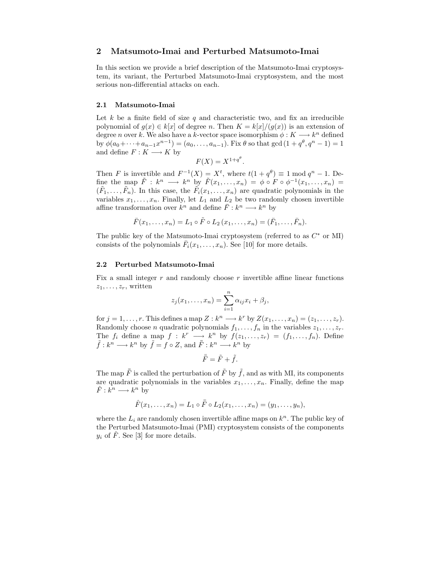## 2 Matsumoto-Imai and Perturbed Matsumoto-Imai

In this section we provide a brief description of the Matsumoto-Imai cryptosystem, its variant, the Perturbed Matsumoto-Imai cryptosystem, and the most serious non-differential attacks on each.

#### 2.1 Matsumoto-Imai

Let k be a finite field of size q and characteristic two, and fix an irreducible polynomial of  $g(x) \in k[x]$  of degree n. Then  $K = k[x]/(g(x))$  is an extension of degree n over k. We also have a k-vector space isomorphism  $\phi: K \longrightarrow k^n$  defined by  $\phi(a_0+\cdots+a_{n-1}x^{n-1})=(a_0,\ldots,a_{n-1})$ . Fix  $\theta$  so that gcd  $(1+q^{\theta},q^{n}-1)=1$ and define  $F: K \longrightarrow K$  by

$$
F(X) = X^{1+q^{\theta}}.
$$

Then F is invertible and  $F^{-1}(X) = X^t$ , where  $t(1 + q^{\theta}) \equiv 1 \mod q^n - 1$ . Define the map  $\tilde{F}: k^n \longrightarrow k^n$  by  $\tilde{F}(x_1, \ldots, x_n) = \phi \circ F \circ \phi^{-1}(x_1, \ldots, x_n) =$  $(\tilde{F}_1, \ldots, \tilde{F}_n)$ . In this case, the  $\tilde{F}_i(x_1, \ldots, x_n)$  are quadratic polynomials in the variables  $x_1, \ldots, x_n$ . Finally, let  $L_1$  and  $L_2$  be two randomly chosen invertible affine transformation over  $k^n$  and define  $\bar{F}: k^n \longrightarrow k^n$  by

$$
\bar{F}(x_1,...,x_n) = L_1 \circ \tilde{F} \circ L_2(x_1,...,x_n) = (\bar{F}_1,...,\bar{F}_n).
$$

The public key of the Matsumoto-Imai cryptosystem (referred to as  $C^*$  or MI) consists of the polynomials  $\bar{F}_i(x_1,\ldots,x_n)$ . See [10] for more details.

#### 2.2 Perturbed Matsumoto-Imai

Fix a small integer  $r$  and randomly choose  $r$  invertible affine linear functions  $z_1, \ldots, z_r$ , written

$$
z_j(x_1,\ldots,x_n)=\sum_{i=1}^n\alpha_{ij}x_i+\beta_j,
$$

for  $j = 1, \ldots, r$ . This defines a map  $Z : k^n \longrightarrow k^r$  by  $Z(x_1, \ldots, x_n) = (z_1, \ldots, z_r)$ . Randomly choose *n* quadratic polynomials  $f_1, \ldots, f_n$  in the variables  $z_1, \ldots, z_r$ . The  $f_i$  define a map  $f : k^r \longrightarrow k^n$  by  $f(z_1, \ldots, z_r) = (f_1, \ldots, f_n)$ . Define  $\tilde{f}: k^n \longrightarrow k^n$  by  $\tilde{f} = f \circ Z$ , and  $\overline{\overline{F}}: k^n \longrightarrow k^n$  by

$$
\bar{\bar{F}} = \tilde{F} + \tilde{f}.
$$

The map  $\bar{\bar{F}}$  is called the perturbation of  $\tilde{F}$  by  $\tilde{f}$ , and as with MI, its components are quadratic polynomials in the variables  $x_1, \ldots, x_n$ . Finally, define the map  $\hat{F}: k^n \longrightarrow k^n$  by

$$
\hat{F}(x_1,...,x_n) = L_1 \circ \bar{F} \circ L_2(x_1,...,x_n) = (y_1,...,y_n),
$$

where the  $L_i$  are randomly chosen invertible affine maps on  $k^n$ . The public key of the Perturbed Matsumoto-Imai (PMI) cryptosystem consists of the components  $y_i$  of  $\hat{F}$ . See [3] for more details.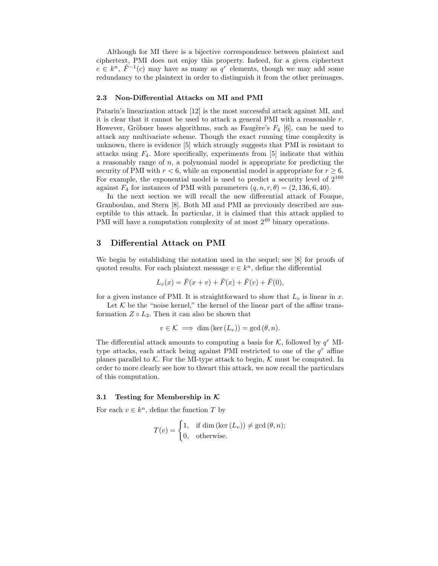Although for MI there is a bijective correspondence between plaintext and ciphertext, PMI does not enjoy this property. Indeed, for a given ciphertext  $c \in k^n$ ,  $\hat{F}^{-1}(c)$  may have as many as  $q^r$  elements, though we may add some redundancy to the plaintext in order to distinguish it from the other preimages.

#### 2.3 Non-Differential Attacks on MI and PMI

Patarin's linearization attack [12] is the most successful attack against MI, and it is clear that it cannot be used to attack a general PMI with a reasonable r. However, Gröbner bases algorithms, such as Faugère's  $F_4$  [6], can be used to attack any multivariate scheme. Though the exact running time complexity is unknown, there is evidence [5] which strongly suggests that PMI is resistant to attacks using  $F_4$ . More specifically, experiments from [5] indicate that within a reasonably range of  $n$ , a polynomial model is appropriate for predicting the security of PMI with  $r < 6$ , while an exponential model is appropriate for  $r \geq 6$ . For example, the exponential model is used to predict a security level of  $2^{160}$ against  $F_4$  for instances of PMI with parameters  $(q, n, r, \theta) = (2, 136, 6, 40)$ .

In the next section we will recall the new differential attack of Fouque, Granboulan, and Stern [8]. Both MI and PMI as previously described are susceptible to this attack. In particular, it is claimed that this attack applied to PMI will have a computation complexity of at most  $2^{49}$  binary operations.

## 3 Differential Attack on PMI

We begin by establishing the notation used in the sequel; see [8] for proofs of quoted results. For each plaintext message  $v \in k<sup>n</sup>$ , define the differential

$$
L_v(x) = \hat{F}(x+v) + \hat{F}(x) + \hat{F}(v) + \hat{F}(0),
$$

for a given instance of PMI. It is straightforward to show that  $L_v$  is linear in x.

Let  $K$  be the "noise kernel," the kernel of the linear part of the affine transformation  $Z \circ L_2$ . Then it can also be shown that

$$
v \in \mathcal{K} \implies \dim\left(\ker\left(L_v\right)\right) = \gcd\left(\theta, n\right).
$$

The differential attack amounts to computing a basis for  $K$ , followed by  $q<sup>r</sup>$  MItype attacks, each attack being against PMI restricted to one of the  $q<sup>r</sup>$  affine planes parallel to K. For the MI-type attack to begin, K must be computed. In order to more clearly see how to thwart this attack, we now recall the particulars of this computation.

#### 3.1 Testing for Membership in  $K$

For each  $v \in k^n$ , define the function T by

$$
T(v) = \begin{cases} 1, & \text{if } \dim(\ker(L_v)) \neq \gcd(\theta, n); \\ 0, & \text{otherwise.} \end{cases}
$$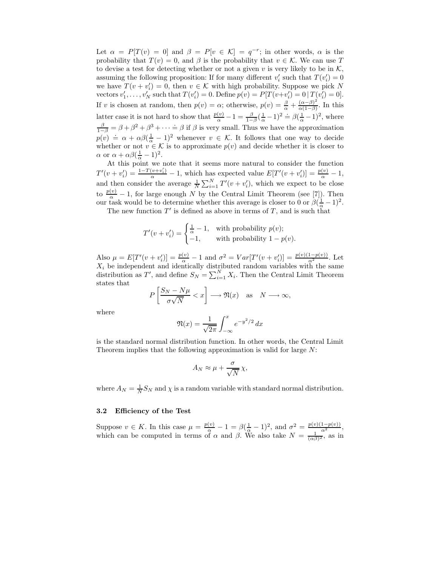Let  $\alpha = P[T(v) = 0]$  and  $\beta = P[v \in \mathcal{K}] = q^{-r}$ ; in other words,  $\alpha$  is the probability that  $T(v) = 0$ , and  $\beta$  is the probability that  $v \in \mathcal{K}$ . We can use T to devise a test for detecting whether or not a given v is very likely to be in  $\mathcal{K}$ , assuming the following proposition: If for many different  $v_i'$  such that  $T(v_i') = 0$ we have  $T(v + v_i') = 0$ , then  $v \in \mathcal{K}$  with high probability. Suppose we pick N vectors  $v'_1, \ldots, v'_N$  such that  $T(v'_i) = 0$ . Define  $p(v) = P[T(v+v'_i) = 0 | T(v'_i) = 0]$ . If v is chosen at random, then  $p(v) = \alpha$ ; otherwise,  $p(v) = \frac{\beta}{\alpha} + \frac{(\alpha - \beta)^2}{\alpha(1 - \beta)}$ . In this latter case it is not hard to show that  $\frac{p(v)}{\alpha} - 1 = \frac{\beta}{1-\beta}(\frac{1}{\alpha} - 1)^2 \doteq \beta(\frac{1}{\alpha} - 1)^2$ , where  $\frac{\beta}{1-\beta} = \beta + \beta^2 + \beta^3 + \cdots = \beta$  if  $\beta$  is very small. Thus we have the approximation  $p(v) = \alpha + \alpha \beta (\frac{1}{\alpha} - 1)^2$  whenever  $v \in \mathcal{K}$ . It follows that one way to decide whether or not  $v \in \mathcal{K}$  is to approximate  $p(v)$  and decide whether it is closer to  $\alpha$  or  $\alpha + \alpha \beta (\frac{1}{\alpha} - 1)^2$ .

At this point we note that it seems more natural to consider the function  $T'(v+v_i')=\frac{1-T(v+v_i')}{\alpha}-1$ , which has expected value  $E[T'(v+v_i')] = \frac{p(v)}{\alpha}-1$ , and then consider the average  $\frac{1}{N} \sum_{i=1}^{N} T'(v + v'_i)$ , which we expect to be close to  $\frac{p(v)}{\alpha} - 1$ , for large enough N by the Central Limit Theorem (see [7]). Then our task would be to determine whether this average is closer to 0 or  $\beta(\frac{1}{\alpha}-1)^2$ .

The new function  $T'$  is defined as above in terms of T, and is such that

$$
T'(v+v_i') = \begin{cases} \frac{1}{\alpha} - 1, & \text{with probability } p(v); \\ -1, & \text{with probability } 1 - p(v). \end{cases}
$$

Also  $\mu = E[T'(v + v'_i)] = \frac{p(v)}{\alpha} - 1$  and  $\sigma^2 = Var[T'(v + v'_i)] = \frac{p(v)(1-p(v))}{\alpha^2}$ . Let  $X_i$  be independent and identically distributed random variables with the same distribution as T', and define  $S_N = \sum_{i=1}^N X_i$ . Then the Central Limit Theorem states that

$$
P\left[\frac{S_N - N\mu}{\sigma\sqrt{N}} < x\right] \longrightarrow \mathfrak{N}(x) \quad \text{as} \quad N \longrightarrow \infty,
$$

where

$$
\mathfrak{N}(x) = \frac{1}{\sqrt{2\pi}} \int_{-\infty}^{x} e^{-y^2/2} dx
$$

is the standard normal distribution function. In other words, the Central Limit Theorem implies that the following approximation is valid for large N:

$$
A_N \approx \mu + \frac{\sigma}{\sqrt{N}} \chi,
$$

where  $A_N = \frac{1}{N} S_N$  and  $\chi$  is a random variable with standard normal distribution.

#### 3.2 Efficiency of the Test

Suppose  $v \in K$ . In this case  $\mu = \frac{p(v)}{\alpha} - 1 = \beta(\frac{1}{\alpha} - 1)^2$ , and  $\sigma^2 = \frac{p(v)(1-p(v))}{\alpha^2}$ , which can be computed in terms of  $\alpha$  and  $\beta$ . We also take  $N = \frac{1}{(\alpha\beta)^2}$ , as in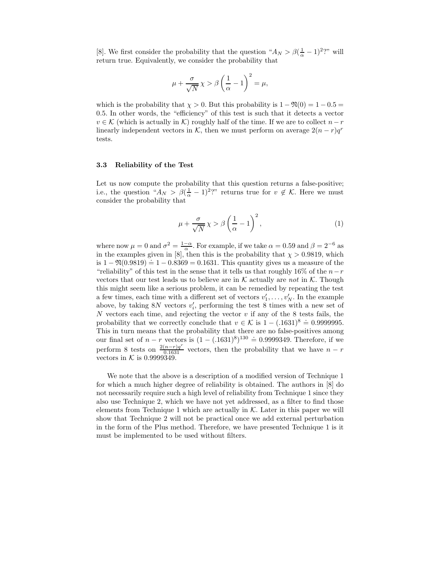[8]. We first consider the probability that the question " $A_N > \beta(\frac{1}{\alpha} - 1)^2$ ?" will return true. Equivalently, we consider the probability that

$$
\mu + \frac{\sigma}{\sqrt{N}} \chi > \beta \left(\frac{1}{\alpha} - 1\right)^2 = \mu,
$$

which is the probability that  $\chi > 0$ . But this probability is  $1 - \Re(0) = 1 - 0.5 =$ 0.5. In other words, the "efficiency" of this test is such that it detects a vector  $v \in \mathcal{K}$  (which is actually in K) roughly half of the time. If we are to collect  $n-r$ linearly independent vectors in K, then we must perform on average  $2(n - r)q^r$ tests.

## 3.3 Reliability of the Test

Let us now compute the probability that this question returns a false-positive; i.e., the question " $A_N > \beta(\frac{1}{\alpha} - 1)^2$ " returns true for  $v \notin \mathcal{K}$ . Here we must consider the probability that

$$
\mu + \frac{\sigma}{\sqrt{N}} \chi > \beta \left(\frac{1}{\alpha} - 1\right)^2,\tag{1}
$$

where now  $\mu = 0$  and  $\sigma^2 = \frac{1-\alpha}{\alpha}$ . For example, if we take  $\alpha = 0.59$  and  $\beta = 2^{-6}$  as in the examples given in [8], then this is the probability that  $\chi > 0.9819$ , which is  $1 - \mathfrak{N}(0.9819) = 1 - 0.8369 = 0.1631$ . This quantity gives us a measure of the "reliability" of this test in the sense that it tells us that roughly 16% of the  $n-r$ vectors that our test leads us to believe are in  $K$  actually are not in  $K$ . Though this might seem like a serious problem, it can be remedied by repeating the test a few times, each time with a different set of vectors  $v'_1, \ldots, v'_N$ . In the example above, by taking  $8N$  vectors  $v_i'$ , performing the test 8 times with a new set of N vectors each time, and rejecting the vector  $v$  if any of the 8 tests fails, the probability that we correctly conclude that  $v \in K$  is  $1 - (.1631)^8 = 0.9999995$ . This in turn means that the probability that there are no false-positives among our final set of  $n - r$  vectors is  $(1 - (.1631)^8)^{130} = 0.9999349$ . Therefore, if we perform 8 tests on  $\frac{2(n-r)q^r}{0.1631}$  vectors, then the probability that we have  $n-r$ vectors in  $K$  is 0.9999349.

We note that the above is a description of a modified version of Technique 1 for which a much higher degree of reliability is obtained. The authors in [8] do not necessarily require such a high level of reliability from Technique 1 since they also use Technique 2, which we have not yet addressed, as a filter to find those elements from Technique 1 which are actually in  $K$ . Later in this paper we will show that Technique 2 will not be practical once we add external perturbation in the form of the Plus method. Therefore, we have presented Technique 1 is it must be implemented to be used without filters.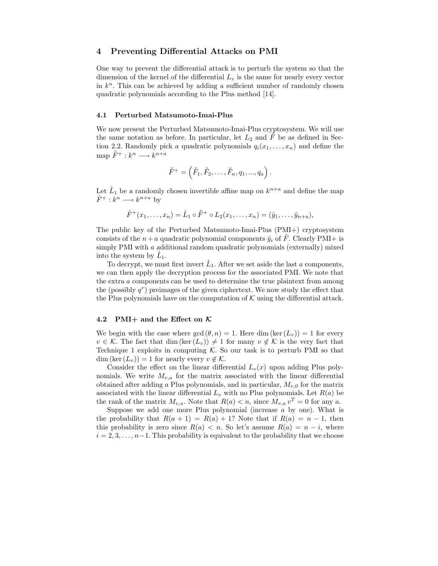## 4 Preventing Differential Attacks on PMI

One way to prevent the differential attack is to perturb the system so that the dimension of the kernel of the differential  $L_v$  is the same for nearly every vector in  $k<sup>n</sup>$ . This can be achieved by adding a sufficient number of randomly chosen quadratic polynomials according to the Plus method [14].

#### 4.1 Perturbed Matsumoto-Imai-Plus

We now present the Perturbed Matsumoto-Imai-Plus cryptosystem. We will use the same notation as before. In particular, let  $L_2$  and  $\overline{F}$  be as defined in Section 2.2. Randomly pick a quadratic polynomials  $q_i(x_1, \ldots, x_n)$  and define the map  $\bar{\bar{F}}^+ : k^n \longrightarrow k^{n+a}$ 

$$
\bar{\bar{F}}^+ = \left( \bar{\bar{F}}_1, \bar{\bar{F}}_2, \dots, \bar{\bar{F}}_n, q_1, ..., q_a \right).
$$

Let  $\hat{L}_1$  be a randomly chosen invertible affine map on  $k^{n+a}$  and define the map  $\hat{F}^+ : k^n \longrightarrow k^{n+a}$  by

$$
\hat{F}^+(x_1,\ldots,x_n) = \hat{L}_1 \circ \bar{F}^+ \circ L_2(x_1,\ldots,x_n) = (\hat{y}_1,\ldots,\hat{y}_{n+a}),
$$

The public key of the Perturbed Matsumoto-Imai-Plus (PMI+) cryptosystem consists of the  $n + a$  quadratic polynomial components  $\hat{y}_i$  of F. Clearly PMI+ is simply PMI with  $a$  additional random quadratic polynomials (externally) mixed into the system by  $L_1$ .

To decrypt, we must first invert  $\hat{L}_1$ . After we set aside the last a components, we can then apply the decryption process for the associated PMI. We note that the extra a components can be used to determine the true plaintext from among the (possibly  $q^r$ ) preimages of the given ciphertext. We now study the effect that the Plus polynomials have on the computation of  $K$  using the differential attack.

#### 4.2 PMI+ and the Effect on  $K$

We begin with the case where  $gcd(\theta, n) = 1$ . Here dim  $(ker(L_v)) = 1$  for every  $v \in \mathcal{K}$ . The fact that dim  $(\ker(L_v)) \neq 1$  for many  $v \notin \mathcal{K}$  is the very fact that Technique 1 exploits in computing  $K$ . So our task is to perturb PMI so that  $\dim (\ker(L_v)) = 1$  for nearly every  $v \notin \mathcal{K}$ .

Consider the effect on the linear differential  $L_v(x)$  upon adding Plus polynomials. We write  $M_{v,a}$  for the matrix associated with the linear differential obtained after adding a Plus polynomials, and in particular,  $M_{v,0}$  for the matrix associated with the linear differential  $L_v$  with no Plus polynomials. Let  $R(a)$  be the rank of the matrix  $M_{v,a}$ . Note that  $R(a) < n$ , since  $M_{v,a} v^T = 0$  for any a.

Suppose we add one more Plus polynomial (increase a by one). What is the probability that  $R(a + 1) = R(a) + 1$ ? Note that if  $R(a) = n - 1$ , then this probability is zero since  $R(a) < n$ . So let's assume  $R(a) = n - i$ , where  $i = 2, 3, \ldots, n-1$ . This probability is equivalent to the probability that we choose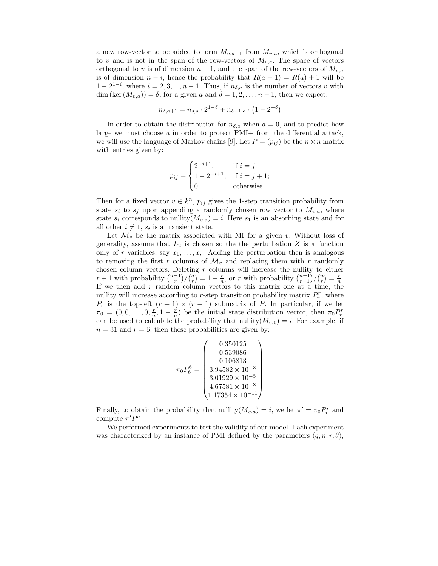a new row-vector to be added to form  $M_{v,a+1}$  from  $M_{v,a}$ , which is orthogonal to v and is not in the span of the row-vectors of  $M_{v,a}$ . The space of vectors orthogonal to v is of dimension  $n-1$ , and the span of the row-vectors of  $M_{v,a}$ is of dimension  $n - i$ , hence the probability that  $R(a + 1) = R(a) + 1$  will be  $1 - 2^{1-i}$ , where  $i = 2, 3, ..., n - 1$ . Thus, if  $n_{\delta,a}$  is the number of vectors v with dim (ker  $(M_{v,a}) = \delta$ , for a given a and  $\delta = 1, 2, \ldots, n-1$ , then we expect:

$$
n_{\delta, a+1} = n_{\delta, a} \cdot 2^{1-\delta} + n_{\delta+1, a} \cdot (1 - 2^{-\delta})
$$

In order to obtain the distribution for  $n_{\delta,a}$  when  $a = 0$ , and to predict how large we must choose  $a$  in order to protect PMI+ from the differential attack, we will use the language of Markov chains [9]. Let  $P = (p_{ij})$  be the  $n \times n$  matrix with entries given by:

$$
p_{ij} = \begin{cases} 2^{-i+1}, & \text{if } i = j; \\ 1 - 2^{-i+1}, & \text{if } i = j + 1; \\ 0, & \text{otherwise.} \end{cases}
$$

Then for a fixed vector  $v \in k^n$ ,  $p_{ij}$  gives the 1-step transition probability from state  $s_i$  to  $s_j$  upon appending a randomly chosen row vector to  $M_{v,a}$ , where state  $s_i$  corresponds to nullity $(M_{v,a}) = i$ . Here  $s_1$  is an absorbing state and for all other  $i \neq 1$ ,  $s_i$  is a transient state.

Let  $\mathcal{M}_v$  be the matrix associated with MI for a given v. Without loss of generality, assume that  $L_2$  is chosen so the the perturbation  $Z$  is a function only of r variables, say  $x_1, \ldots, x_r$ . Adding the perturbation then is analogous to removing the first r columns of  $\mathcal{M}_v$  and replacing them with r randomly chosen column vectors. Deleting  $r$  columns will increase the nullity to either  $r+1$  with probability  $\binom{n-1}{r}\big/\binom{n}{r} = 1-\frac{r}{n}$ , or r with probability  $\binom{n-1}{r-1}\big/\binom{n}{r} = \frac{r}{n}$ . If we then add  $r$  random column vectors to this matrix one at a time, the nullity will increase according to r-step transition probability matrix  $P_r^r$ , where  $P_r$  is the top-left  $(r + 1) \times (r + 1)$  submatrix of P. In particular, if we let  $\pi_0 = (0, 0, \ldots, 0, \frac{r}{n}, 1 - \frac{r}{n})$  be the initial state distribution vector, then  $\pi_0 P_r^r$ can be used to calculate the probability that nullity $(M_{v,0}) = i$ . For example, if  $n = 31$  and  $r = 6$ , then these probabilities are given by:

$$
\pi_0 P_6^6 = \left(\begin{array}{c} 0.350125 \\ 0.539086 \\ 0.106813 \\ 3.94582 \times 10^{-3} \\ 3.01929 \times 10^{-5} \\ 4.67581 \times 10^{-8} \\ 1.17354 \times 10^{-11} \end{array}\right)
$$

Finally, to obtain the probability that nullity $(M_{v,a}) = i$ , we let  $\pi' = \pi_0 P_r^r$  and compute  $\pi'P^a$ 

We performed experiments to test the validity of our model. Each experiment was characterized by an instance of PMI defined by the parameters  $(q, n, r, \theta)$ ,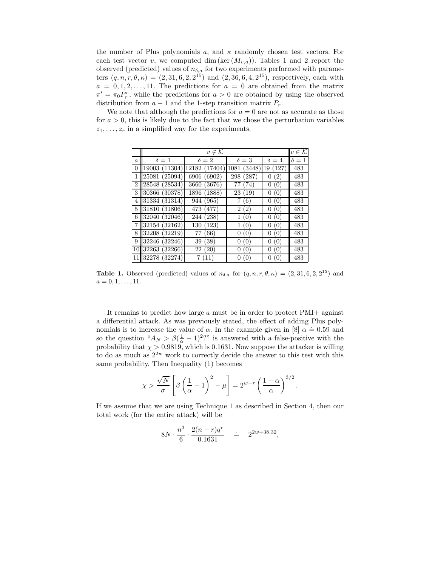the number of Plus polynomials a, and  $\kappa$  randomly chosen test vectors. For each test vector v, we computed dim (ker  $(M_{v,a})$ ). Tables 1 and 2 report the observed (predicted) values of  $n_{\delta,a}$  for two experiments performed with parameters  $(q, n, r, \theta, \kappa) = (2, 31, 6, 2, 2^{15})$  and  $(2, 36, 6, 4, 2^{15})$ , respectively, each with  $a = 0, 1, 2, \ldots, 11$ . The predictions for  $a = 0$  are obtained from the matrix  $\pi' = \pi_0 P_r^r$ , while the predictions for  $a > 0$  are obtained by using the observed distribution from  $a - 1$  and the 1-step transition matrix  $P_r$ .

We note that although the predictions for  $a = 0$  are not as accurate as those for  $a > 0$ , this is likely due to the fact that we chose the perturbation variables  $z_1, \ldots, z_r$  in a simplified way for the experiments.

|                  | $v \notin \mathcal{K}$ |               |              |                 |              |  |  |  |
|------------------|------------------------|---------------|--------------|-----------------|--------------|--|--|--|
| $\boldsymbol{a}$ | $\delta = 1$           | $\delta = 2$  | $\delta = 3$ | $\delta = 4$    | $\delta = 1$ |  |  |  |
| 0                | 19003(11304)           | 12182 (17404) | 1081 (3448)  | 19<br>(127)     | 483          |  |  |  |
| 1                | 25081 (25094)          | 6906 (6902)   | 298 (287)    | 0(2)            | 483          |  |  |  |
| 2 <sub>1</sub>   | 28548 (28534)          | 3660 (3676)   | 77 (74)      | 0(0)            | 483          |  |  |  |
| 3                | 30366 (30378)          | 1896 (1888)   | 23 (19)      | 0(0)            | 483          |  |  |  |
| 4                | 31334 (31314)          | 944 (965)     | 7(6)         | 0(0)            | 483          |  |  |  |
|                  | 5 31810 (31806)        | 473 (477)     | 2(2)         | 0(0)            | 483          |  |  |  |
| 6                | 32040 (32046)          | 244 (238)     | 1(0)         | 0(0)            | 483          |  |  |  |
|                  | 7 32154 (32162)        | 130 (123)     | 1(0)         | 0(0)            | 483          |  |  |  |
| 8                | 32208(32219)           | (66)<br>77    | 0(0)         | (0)<br>0        | 483          |  |  |  |
| 9                | 32246 (32246)          | (38)<br>39    | 0(0)         | (0)<br>0        | 483          |  |  |  |
|                  | 10 32263 (32266)       | 22(20)        | 0(0)         | (0)<br>0        | 483          |  |  |  |
| 11               | 32278 (32274)          | 7(11)         | 0(0)         | (0)<br>$^{(1)}$ | 483          |  |  |  |

**Table 1.** Observed (predicted) values of  $n_{\delta,a}$  for  $(q, n, r, \theta, \kappa) = (2, 31, 6, 2, 2^{15})$  and  $a = 0, 1, \ldots, 11.$ 

It remains to predict how large a must be in order to protect PMI+ against a differential attack. As was previously stated, the effect of adding Plus polynomials is to increase the value of  $\alpha$ . In the example given in [8]  $\alpha = 0.59$  and so the question " $A_N > \beta(\frac{1}{\alpha} - 1)^2$ " is answered with a false-positive with the probability that  $\chi > 0.9819$ , which is 0.1631. Now suppose the attacker is willing to do as much as  $2^{2w}$  work to correctly decide the answer to this test with this same probability. Then Inequality (1) becomes

$$
\chi > \frac{\sqrt{N}}{\sigma} \left[ \beta \left( \frac{1}{\alpha} - 1 \right)^2 - \mu \right] = 2^{w-r} \left( \frac{1 - \alpha}{\alpha} \right)^{3/2}.
$$

If we assume that we are using Technique 1 as described in Section 4, then our total work (for the entire attack) will be

$$
8N \cdot \frac{n^3}{6} \cdot \frac{2(n-r)q^r}{0.1631} \quad \doteq \quad 2^{2w+38.32},
$$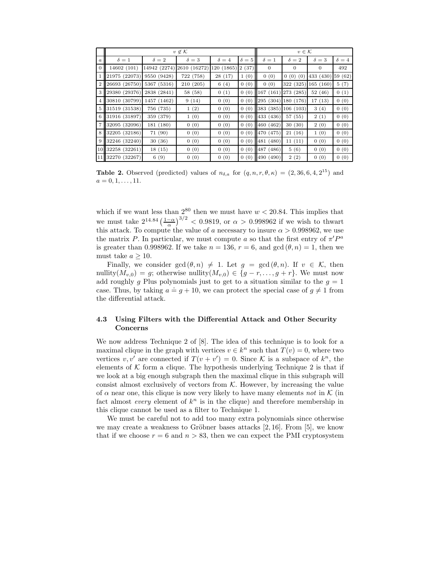|                  | $v \notin \mathcal{K}$ |                           |            |              |            | $v \in \mathcal{K}$ |                |                   |              |
|------------------|------------------------|---------------------------|------------|--------------|------------|---------------------|----------------|-------------------|--------------|
| $\boldsymbol{a}$ | $\delta=1$             | $\delta=2$                | $\delta=3$ | $\delta = 4$ | $\delta=5$ | $\delta=1$          | $\delta=2$     | $\delta=3$        | $\delta = 4$ |
| $\overline{0}$   | 14602 (101)            | 14942 (2274) 2610 (16272) |            | 120 (1865)   | 2(37)      | $\overline{0}$      | $\overline{0}$ | $\theta$          | 492          |
| 1                | 21975 (22073)          | 9550 (9428)               | 722 (758)  | 28(17)       | 1(0)       | 0(0)                | 0(0)(0)        | 433 (430) 59 (62) |              |
| $\overline{2}$   | 26693 (26750)          | 5367 (5316)               | 210 (205)  | 6(4)         | 0(0)       | 0(0)                | 322 (325)      | 165(160)          | 5(7)         |
| 3                | 29380 (29376)          | 2838 (2841)               | 58 (58)    | 0(1)         | 0(0)       | 167(161)            | 273 (285)      | 52(46)            | 0(1)         |
| 4                | 30810 (30799)          | 1457 (1462)               | 9(14)      | 0(0)         | 0(0)       | 295(304)            | 180 (176)      | 17(13)            | 0(0)         |
| 5                | 31519 (31538)          | 756 (735)                 | 1(2)       | 0(0)         | 0(0)       | 383 (385)           | 106(103)       | 3(4)              | 0(0)         |
| 6                | 31916 (31897)          | 359 (379)                 | 1(0)       | 0(0)         | 0(0)       | 433 (436)           | 57(55)         | 2(1)              | 0(0)         |
| $\overline{7}$   | 32095 (32096)          | 181 (180)                 | 0(0)       | 0(0)         | 0(0)       | 460 (462)           | 30(30)         | 2(0)              | 0(0)         |
| 8                | 32205 (32186)          | 71 (90)                   | 0(0)       | 0(0)         | 0(0)       | 470 (475)           | 21(16)         | 1(0)              | 0(0)         |
| 9                | 32246 (32240)          | 30(36)                    | 0(0)       | 0(0)         | 0(0)       | 481 (480)           | 11(11)         | 0(0)              | 0(0)         |
|                  | 10 32258 (32261)       | 18(15)                    | 0(0)       | 0(0)         | 0(0)       | (486)<br>487        | 5(6)           | 0(0)              | 0(0)         |
|                  | 11 32270 (32267)       | 6(9)                      | 0(0)       | 0(0)         | 0(0)       | (490)<br>490        | 2(2)           | 0(0)              | 0(0)         |

Table 2. Observed (predicted) values of  $n_{\delta,a}$  for  $(q, n, r, \theta, \kappa) = (2, 36, 6, 4, 2^{15})$  and  $a = 0, 1, \ldots, 11.$ 

which if we want less than  $2^{80}$  then we must have  $w < 20.84$ . This implies that we must take  $2^{14.84} \left(\frac{1-\alpha}{\alpha}\right)^{3/2} < 0.9819$ , or  $\alpha > 0.998962$  if we wish to thwart this attack. To compute the value of a necessary to insure  $\alpha > 0.998962$ , we use the matrix P. In particular, we must compute a so that the first entry of  $\pi'P^a$ is greater than 0.998962. If we take  $n = 136$ ,  $r = 6$ , and  $gcd(\theta, n) = 1$ , then we must take  $a \geq 10$ .

Finally, we consider  $gcd(\theta, n) \neq 1$ . Let  $g = gcd(\theta, n)$ . If  $v \in \mathcal{K}$ , then nullity $(M_{v,0}) = g$ ; otherwise nullity $(M_{v,0}) \in \{g-r,\ldots,g+r\}$ . We must now add roughly g Plus polynomials just to get to a situation similar to the  $g = 1$ case. Thus, by taking  $a = g + 10$ , we can protect the special case of  $g \neq 1$  from the differential attack.

## 4.3 Using Filters with the Differential Attack and Other Security Concerns

We now address Technique 2 of [8]. The idea of this technique is to look for a maximal clique in the graph with vertices  $v \in k^n$  such that  $T(v) = 0$ , where two vertices  $v, v'$  are connected if  $T(v + v') = 0$ . Since K is a subspace of  $k^n$ , the elements of  $K$  form a clique. The hypothesis underlying Technique 2 is that if we look at a big enough subgraph then the maximal clique in this subgraph will consist almost exclusively of vectors from  $K$ . However, by increasing the value of  $\alpha$  near one, this clique is now very likely to have many elements not in K (in fact almost *every* element of  $k^n$  is in the clique) and therefore membership in this clique cannot be used as a filter to Technique 1.

We must be careful not to add too many extra polynomials since otherwise we may create a weakness to Gröbner bases attacks  $[2, 16]$ . From  $[5]$ , we know that if we choose  $r = 6$  and  $n > 83$ , then we can expect the PMI cryptosystem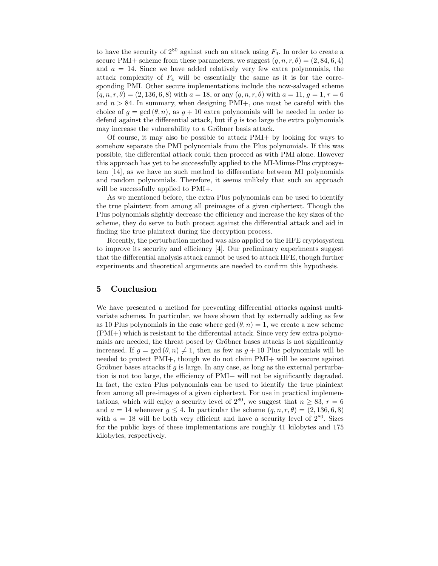to have the security of  $2^{80}$  against such an attack using  $F_4$ . In order to create a secure PMI+ scheme from these parameters, we suggest  $(q, n, r, \theta) = (2, 84, 6, 4)$ and  $a = 14$ . Since we have added relatively very few extra polynomials, the attack complexity of  $F_4$  will be essentially the same as it is for the corresponding PMI. Other secure implementations include the now-salvaged scheme  $(q, n, r, \theta) = (2, 136, 6, 8)$  with  $a = 18$ , or any  $(q, n, r, \theta)$  with  $a = 11, g = 1, r = 6$ and  $n > 84$ . In summary, when designing PMI+, one must be careful with the choice of  $g = \gcd(\theta, n)$ , as  $g + 10$  extra polynomials will be needed in order to defend against the differential attack, but if  $g$  is too large the extra polynomials may increase the vulnerability to a Gröbner basis attack.

Of course, it may also be possible to attack PMI+ by looking for ways to somehow separate the PMI polynomials from the Plus polynomials. If this was possible, the differential attack could then proceed as with PMI alone. However this approach has yet to be successfully applied to the MI-Minus-Plus cryptosystem [14], as we have no such method to differentiate between MI polynomials and random polynomials. Therefore, it seems unlikely that such an approach will be successfully applied to  $PMI+$ .

As we mentioned before, the extra Plus polynomials can be used to identify the true plaintext from among all preimages of a given ciphertext. Though the Plus polynomials slightly decrease the efficiency and increase the key sizes of the scheme, they do serve to both protect against the differential attack and aid in finding the true plaintext during the decryption process.

Recently, the perturbation method was also applied to the HFE cryptosystem to improve its security and efficiency [4]. Our preliminary experiments suggest that the differential analysis attack cannot be used to attack HFE, though further experiments and theoretical arguments are needed to confirm this hypothesis.

## 5 Conclusion

We have presented a method for preventing differential attacks against multivariate schemes. In particular, we have shown that by externally adding as few as 10 Plus polynomials in the case where  $gcd(\theta, n) = 1$ , we create a new scheme (PMI+) which is resistant to the differential attack. Since very few extra polynomials are needed, the threat posed by Gröbner bases attacks is not significantly increased. If  $q = \gcd(\theta, n) \neq 1$ , then as few as  $q + 10$  Plus polynomials will be needed to protect PMI+, though we do not claim PMI+ will be secure against Gröbner bases attacks if g is large. In any case, as long as the external perturbation is not too large, the efficiency of PMI+ will not be significantly degraded. In fact, the extra Plus polynomials can be used to identify the true plaintext from among all pre-images of a given ciphertext. For use in practical implementations, which will enjoy a security level of  $2^{80}$ , we suggest that  $n \geq 83$ ,  $r = 6$ and  $a = 14$  whenever  $g \le 4$ . In particular the scheme  $(q, n, r, \theta) = (2, 136, 6, 8)$ with  $a = 18$  will be both very efficient and have a security level of  $2^{80}$ . Sizes for the public keys of these implementations are roughly 41 kilobytes and 175 kilobytes, respectively.